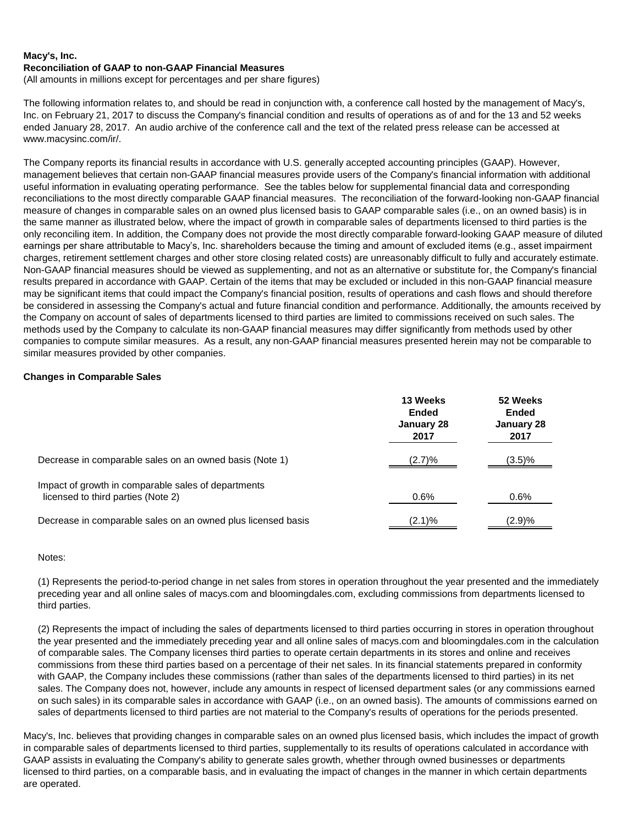(All amounts in millions except for percentages and per share figures)

The following information relates to, and should be read in conjunction with, a conference call hosted by the management of Macy's, Inc. on February 21, 2017 to discuss the Company's financial condition and results of operations as of and for the 13 and 52 weeks ended January 28, 2017. An audio archive of the conference call and the text of the related press release can be accessed at www.macysinc.com/ir/.

The Company reports its financial results in accordance with U.S. generally accepted accounting principles (GAAP). However, management believes that certain non-GAAP financial measures provide users of the Company's financial information with additional useful information in evaluating operating performance. See the tables below for supplemental financial data and corresponding reconciliations to the most directly comparable GAAP financial measures. The reconciliation of the forward-looking non-GAAP financial measure of changes in comparable sales on an owned plus licensed basis to GAAP comparable sales (i.e., on an owned basis) is in the same manner as illustrated below, where the impact of growth in comparable sales of departments licensed to third parties is the only reconciling item. In addition, the Company does not provide the most directly comparable forward-looking GAAP measure of diluted earnings per share attributable to Macy's, Inc. shareholders because the timing and amount of excluded items (e.g., asset impairment charges, retirement settlement charges and other store closing related costs) are unreasonably difficult to fully and accurately estimate. Non-GAAP financial measures should be viewed as supplementing, and not as an alternative or substitute for, the Company's financial results prepared in accordance with GAAP. Certain of the items that may be excluded or included in this non-GAAP financial measure may be significant items that could impact the Company's financial position, results of operations and cash flows and should therefore be considered in assessing the Company's actual and future financial condition and performance. Additionally, the amounts received by the Company on account of sales of departments licensed to third parties are limited to commissions received on such sales. The methods used by the Company to calculate its non-GAAP financial measures may differ significantly from methods used by other companies to compute similar measures. As a result, any non-GAAP financial measures presented herein may not be comparable to similar measures provided by other companies.

# **Changes in Comparable Sales**

|                                                                                           | 13 Weeks<br><b>Ended</b><br>January 28<br>2017 | 52 Weeks<br><b>Ended</b><br>January 28<br>2017 |
|-------------------------------------------------------------------------------------------|------------------------------------------------|------------------------------------------------|
| Decrease in comparable sales on an owned basis (Note 1)                                   | (2.7)%                                         | (3.5)%                                         |
| Impact of growth in comparable sales of departments<br>licensed to third parties (Note 2) | 0.6%                                           | 0.6%                                           |
| Decrease in comparable sales on an owned plus licensed basis                              | (2.1)%                                         | (2.9)%                                         |

### Notes:

(1) Represents the period-to-period change in net sales from stores in operation throughout the year presented and the immediately preceding year and all online sales of macys.com and bloomingdales.com, excluding commissions from departments licensed to third parties.

(2) Represents the impact of including the sales of departments licensed to third parties occurring in stores in operation throughout the year presented and the immediately preceding year and all online sales of macys.com and bloomingdales.com in the calculation of comparable sales. The Company licenses third parties to operate certain departments in its stores and online and receives commissions from these third parties based on a percentage of their net sales. In its financial statements prepared in conformity with GAAP, the Company includes these commissions (rather than sales of the departments licensed to third parties) in its net sales. The Company does not, however, include any amounts in respect of licensed department sales (or any commissions earned on such sales) in its comparable sales in accordance with GAAP (i.e., on an owned basis). The amounts of commissions earned on sales of departments licensed to third parties are not material to the Company's results of operations for the periods presented.

Macy's, Inc. believes that providing changes in comparable sales on an owned plus licensed basis, which includes the impact of growth in comparable sales of departments licensed to third parties, supplementally to its results of operations calculated in accordance with GAAP assists in evaluating the Company's ability to generate sales growth, whether through owned businesses or departments licensed to third parties, on a comparable basis, and in evaluating the impact of changes in the manner in which certain departments are operated.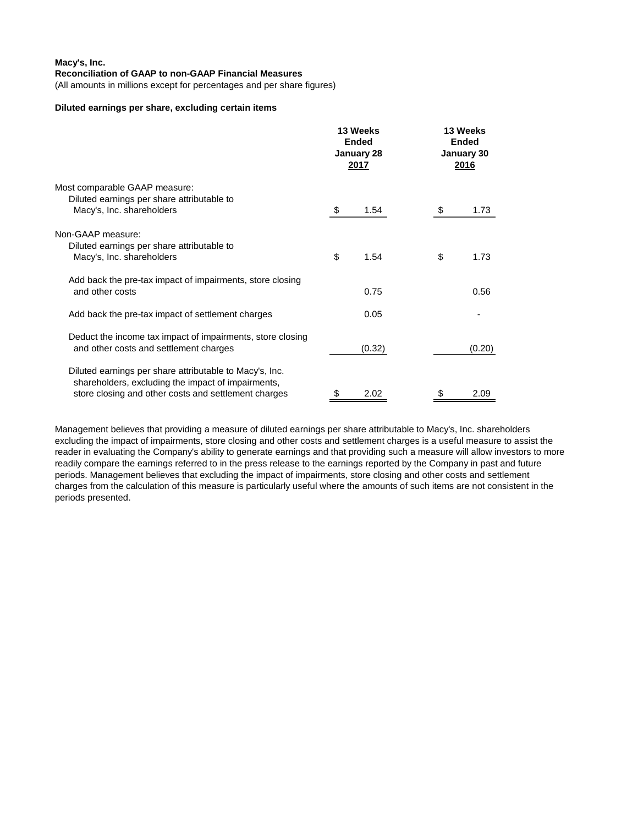(All amounts in millions except for percentages and per share figures)

#### **Diluted earnings per share, excluding certain items**

|                                                                                                                                                                       | 13 Weeks<br><b>Ended</b><br>January 28<br>2017 |    | 13 Weeks<br><b>Ended</b><br>January 30<br><u> 2016</u> |  |
|-----------------------------------------------------------------------------------------------------------------------------------------------------------------------|------------------------------------------------|----|--------------------------------------------------------|--|
| Most comparable GAAP measure:<br>Diluted earnings per share attributable to<br>Macy's, Inc. shareholders                                                              | 1.54                                           |    | 1.73                                                   |  |
| Non-GAAP measure:<br>Diluted earnings per share attributable to<br>Macy's, Inc. shareholders                                                                          | \$<br>1.54                                     | \$ | 1.73                                                   |  |
| Add back the pre-tax impact of impairments, store closing<br>and other costs                                                                                          | 0.75                                           |    | 0.56                                                   |  |
| Add back the pre-tax impact of settlement charges                                                                                                                     | 0.05                                           |    |                                                        |  |
| Deduct the income tax impact of impairments, store closing<br>and other costs and settlement charges                                                                  | (0.32)                                         |    | (0.20)                                                 |  |
| Diluted earnings per share attributable to Macy's, Inc.<br>shareholders, excluding the impact of impairments,<br>store closing and other costs and settlement charges | \$<br>2.02                                     | S  | 2.09                                                   |  |

Management believes that providing a measure of diluted earnings per share attributable to Macy's, Inc. shareholders excluding the impact of impairments, store closing and other costs and settlement charges is a useful measure to assist the reader in evaluating the Company's ability to generate earnings and that providing such a measure will allow investors to more readily compare the earnings referred to in the press release to the earnings reported by the Company in past and future periods. Management believes that excluding the impact of impairments, store closing and other costs and settlement charges from the calculation of this measure is particularly useful where the amounts of such items are not consistent in the periods presented.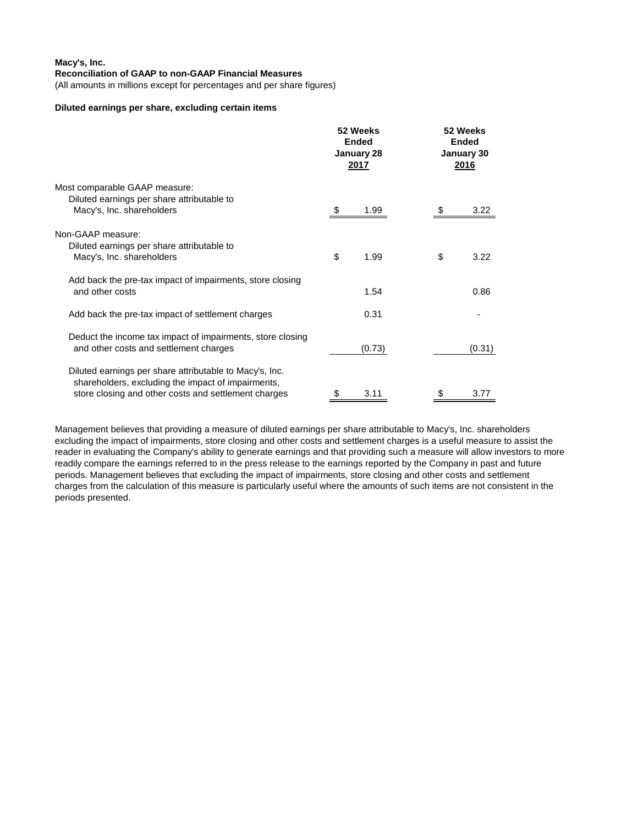(All amounts in millions except for percentages and per share figures)

#### **Diluted earnings per share, excluding certain items**

|                                                                                                                                                                       | 52 Weeks<br><b>Ended</b><br>January 28<br>2017 |    | 52 Weeks<br><b>Ended</b><br>January 30<br><u> 2016</u> |  |
|-----------------------------------------------------------------------------------------------------------------------------------------------------------------------|------------------------------------------------|----|--------------------------------------------------------|--|
| Most comparable GAAP measure:<br>Diluted earnings per share attributable to<br>Macy's, Inc. shareholders                                                              | 1.99                                           |    | 3.22                                                   |  |
| Non-GAAP measure:<br>Diluted earnings per share attributable to<br>Macy's, Inc. shareholders                                                                          | \$<br>1.99                                     | \$ | 3.22                                                   |  |
| Add back the pre-tax impact of impairments, store closing<br>and other costs                                                                                          | 1.54                                           |    | 0.86                                                   |  |
| Add back the pre-tax impact of settlement charges                                                                                                                     | 0.31                                           |    |                                                        |  |
| Deduct the income tax impact of impairments, store closing<br>and other costs and settlement charges                                                                  | (0.73)                                         |    | (0.31)                                                 |  |
| Diluted earnings per share attributable to Macy's, Inc.<br>shareholders, excluding the impact of impairments,<br>store closing and other costs and settlement charges | \$<br>3.11                                     | S  | 3.77                                                   |  |

Management believes that providing a measure of diluted earnings per share attributable to Macy's, Inc. shareholders excluding the impact of impairments, store closing and other costs and settlement charges is a useful measure to assist the reader in evaluating the Company's ability to generate earnings and that providing such a measure will allow investors to more readily compare the earnings referred to in the press release to the earnings reported by the Company in past and future periods. Management believes that excluding the impact of impairments, store closing and other costs and settlement charges from the calculation of this measure is particularly useful where the amounts of such items are not consistent in the periods presented.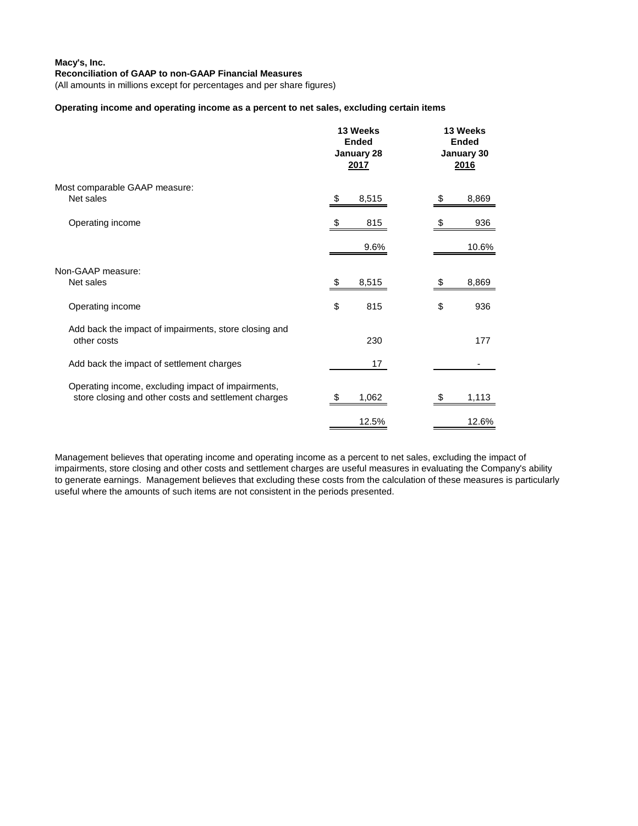(All amounts in millions except for percentages and per share figures)

# **Operating income and operating income as a percent to net sales, excluding certain items**

|                                                                                                            |    | 13 Weeks<br><b>Ended</b><br>January 28<br>2017 |  | 13 Weeks<br><b>Ended</b><br>January 30<br>2016 |       |
|------------------------------------------------------------------------------------------------------------|----|------------------------------------------------|--|------------------------------------------------|-------|
| Most comparable GAAP measure:<br>Net sales                                                                 | \$ | 8,515                                          |  | S                                              | 8,869 |
| Operating income                                                                                           |    | 815                                            |  |                                                | 936   |
|                                                                                                            |    | 9.6%                                           |  |                                                | 10.6% |
| Non-GAAP measure:<br>Net sales                                                                             | S  | 8,515                                          |  |                                                | 8,869 |
| Operating income                                                                                           | \$ | 815                                            |  | \$                                             | 936   |
| Add back the impact of impairments, store closing and<br>other costs                                       |    | 230                                            |  |                                                | 177   |
| Add back the impact of settlement charges                                                                  |    | 17                                             |  |                                                |       |
| Operating income, excluding impact of impairments,<br>store closing and other costs and settlement charges | S  | 1,062                                          |  | S                                              | 1,113 |
|                                                                                                            |    | 12.5%                                          |  |                                                | 12.6% |

Management believes that operating income and operating income as a percent to net sales, excluding the impact of impairments, store closing and other costs and settlement charges are useful measures in evaluating the Company's ability to generate earnings. Management believes that excluding these costs from the calculation of these measures is particularly useful where the amounts of such items are not consistent in the periods presented.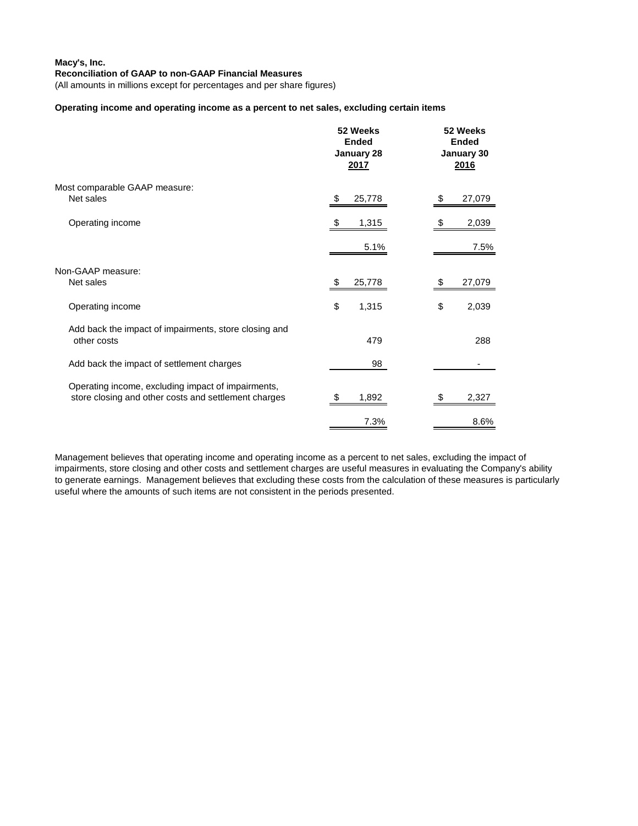(All amounts in millions except for percentages and per share figures)

# **Operating income and operating income as a percent to net sales, excluding certain items**

|                                                                                                            | 52 Weeks<br><b>Ended</b><br>January 28<br>2017 |               |
|------------------------------------------------------------------------------------------------------------|------------------------------------------------|---------------|
| Most comparable GAAP measure:<br>Net sales                                                                 | 25,778<br>\$.                                  | 27,079<br>\$. |
| Operating income                                                                                           | 1,315                                          | 2,039         |
|                                                                                                            | 5.1%                                           | 7.5%          |
| Non-GAAP measure:<br>Net sales                                                                             | 25,778<br>S                                    | 27,079        |
| Operating income                                                                                           | \$<br>1,315                                    | \$<br>2,039   |
| Add back the impact of impairments, store closing and<br>other costs                                       | 479                                            | 288           |
| Add back the impact of settlement charges                                                                  | 98                                             |               |
| Operating income, excluding impact of impairments,<br>store closing and other costs and settlement charges | 1,892<br>S                                     | 2,327<br>S    |
|                                                                                                            | 7.3%                                           | 8.6%          |

Management believes that operating income and operating income as a percent to net sales, excluding the impact of impairments, store closing and other costs and settlement charges are useful measures in evaluating the Company's ability to generate earnings. Management believes that excluding these costs from the calculation of these measures is particularly useful where the amounts of such items are not consistent in the periods presented.